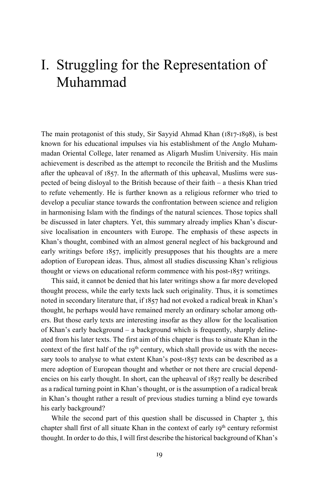# I. Struggling for the Representation of Muhammad

The main protagonist of this study, Sir Sayyid Ahmad Khan (1817-1898), is best known for his educational impulses via his establishment of the Anglo Muhammadan Oriental College, later renamed as Aligarh Muslim University. His main achievement is described as the attempt to reconcile the British and the Muslims after the upheaval of 1857. In the aftermath of this upheaval, Muslims were suspected of being disloyal to the British because of their faith – a thesis Khan tried to refute vehemently. He is further known as a religious reformer who tried to develop a peculiar stance towards the confrontation between science and religion in harmonising Islam with the findings of the natural sciences. Those topics shall be discussed in later chapters. Yet, this summary already implies Khan's discursive localisation in encounters with Europe. The emphasis of these aspects in Khan's thought, combined with an almost general neglect of his background and early writings before 1857, implicitly presupposes that his thoughts are a mere adoption of European ideas. Thus, almost all studies discussing Khan's religious thought or views on educational reform commence with his post-1857 writings.

This said, it cannot be denied that his later writings show a far more developed thought process, while the early texts lack such originality. Thus, it is sometimes noted in secondary literature that, if 1857 had not evoked a radical break in Khan's thought, he perhaps would have remained merely an ordinary scholar among others. But those early texts are interesting insofar as they allow for the localisation of Khan's early background – a background which is frequently, sharply delineated from his later texts. The first aim of this chapter is thus to situate Khan in the context of the first half of the  $19<sup>th</sup>$  century, which shall provide us with the necessary tools to analyse to what extent Khan's post-1857 texts can be described as a mere adoption of European thought and whether or not there are crucial dependencies on his early thought. In short, can the upheaval of 1857 really be described as a radical turning point in Khan's thought, or is the assumption of a radical break in Khan's thought rather a result of previous studies turning a blind eye towards his early background?

While the second part of this question shall be discussed in Chapter 3, this chapter shall first of all situate Khan in the context of early  $19<sup>th</sup>$  century reformist thought. In order to do this, I will first describe the historical background of Khan's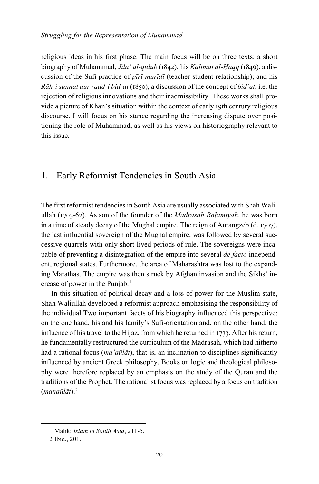religious ideas in his first phase. The main focus will be on three texts: a short biography of Muhammad, *Jilāʾ al-qulūb* (1842); his *Kalimat al-Ḥaqq* (1849), a discussion of the Sufi practice of *pīrī-murīdī* (teacher-student relationship); and his *Rāh-i sunnat aur radd-i bidʿat* (1850), a discussion of the concept of *bidʿat*, i.e. the rejection of religious innovations and their inadmissibility. These works shall provide a picture of Khan's situation within the context of early 19th century religious discourse. I will focus on his stance regarding the increasing dispute over positioning the role of Muhammad, as well as his views on historiography relevant to this issue.

## 1. Early Reformist Tendencies in South Asia

The first reformist tendencies in South Asia are usually associated with Shah Waliullah (1703-62). As son of the founder of the *Madrasah Rahīmīyah*, he was born in a time of steady decay of the Mughal empire. The reign of Aurangzeb (d. 1707), the last influential sovereign of the Mughal empire, was followed by several successive quarrels with only short-lived periods of rule. The sovereigns were incapable of preventing a disintegration of the empire into several *de facto* independent, regional states. Furthermore, the area of Maharashtra was lost to the expanding Marathas. The empire was then struck by Afghan invasion and the Sikhs' in-crease of power in the Punjab.<sup>[1](#page-1-0)</sup>

In this situation of political decay and a loss of power for the Muslim state, Shah Waliullah developed a reformist approach emphasising the responsibility of the individual Two important facets of his biography influenced this perspective: on the one hand, his and his family's Sufi-orientation and, on the other hand, the influence of his travel to the Hijaz, from which he returned in 1733. After his return, he fundamentally restructured the curriculum of the Madrasah, which had hitherto had a rational focus (*maʿqūlāt*), that is, an inclination to disciplines significantly influenced by ancient Greek philosophy. Books on logic and theological philosophy were therefore replaced by an emphasis on the study of the Quran and the traditions of the Prophet. The rationalist focus was replaced by a focus on tradition (*manqūlāt*).[2](#page-1-1)

<span id="page-1-1"></span><span id="page-1-0"></span>1

<sup>1</sup> Malik: *Islam in South Asia*, 211-5.

<sup>2</sup> Ibid., 201.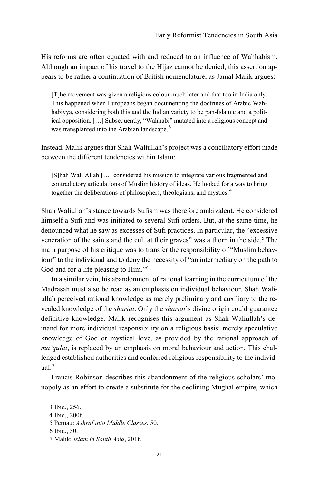His reforms are often equated with and reduced to an influence of Wahhabism. Although an impact of his travel to the Hijaz cannot be denied, this assertion appears to be rather a continuation of British nomenclature, as Jamal Malik argues:

[T]he movement was given a religious colour much later and that too in India only. This happened when Europeans began documenting the doctrines of Arabic Wahhabiyya, considering both this and the Indian variety to be pan-Islamic and a political opposition. […] Subsequently, "Wahhabi" mutated into a religious concept and was transplanted into the Arabian landscape.<sup>[3](#page-2-0)</sup>

Instead, Malik argues that Shah Waliullah's project was a conciliatory effort made between the different tendencies within Islam:

[S]hah Wali Allah […] considered his mission to integrate various fragmented and contradictory articulations of Muslim history of ideas. He looked for a way to bring together the deliberations of philosophers, theologians, and mystics.[4](#page-2-1)

Shah Waliullah's stance towards Sufism was therefore ambivalent. He considered himself a Sufi and was initiated to several Sufi orders. But, at the same time, he denounced what he saw as excesses of Sufi practices. In particular, the "excessive veneration of the saints and the cult at their graves" was a thorn in the side.<sup>[5](#page-2-2)</sup> The main purpose of his critique was to transfer the responsibility of "Muslim behaviour" to the individual and to deny the necessity of "an intermediary on the path to God and for a life pleasing to Him."[6](#page-2-3)

In a similar vein, his abandonment of rational learning in the curriculum of the Madrasah must also be read as an emphasis on individual behaviour. Shah Waliullah perceived rational knowledge as merely preliminary and auxiliary to the revealed knowledge of the *shariat*. Only the *shariat*'s divine origin could guarantee definitive knowledge. Malik recognises this argument as Shah Waliullah's demand for more individual responsibility on a religious basis: merely speculative knowledge of God or mystical love, as provided by the rational approach of *maʿqūlāt*, is replaced by an emphasis on moral behaviour and action. This challenged established authorities and conferred religious responsibility to the individ- $ual.<sup>7</sup>$  $ual.<sup>7</sup>$  $ual.<sup>7</sup>$ 

Francis Robinson describes this abandonment of the religious scholars' monopoly as an effort to create a substitute for the declining Mughal empire, which

<span id="page-2-0"></span><sup>3</sup> Ibid., 256.

<span id="page-2-1"></span><sup>4</sup> Ibid., 200f.

<span id="page-2-2"></span><sup>5</sup> Pernau: *Ashraf into Middle Classes*, 50.

<span id="page-2-3"></span><sup>6</sup> Ibid., 50.

<span id="page-2-4"></span><sup>7</sup> Malik: *Islam in South Asia*, 201f.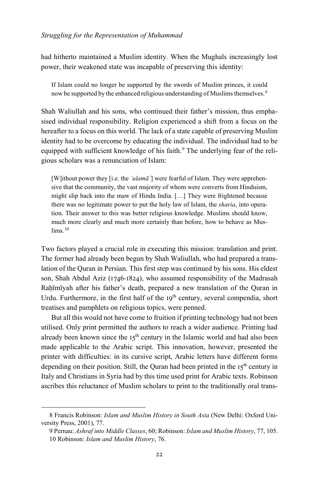had hitherto maintained a Muslim identity. When the Mughals increasingly lost power, their weakened state was incapable of preserving this identity:

If Islam could no longer be supported by the swords of Muslim princes, it could now be supported by the enhanced religious understanding of Muslims themselves.<sup>[8](#page-3-0)</sup>

Shah Waliullah and his sons, who continued their father's mission, thus emphasised individual responsibility. Religion experienced a shift from a focus on the hereafter to a focus on this world. The lack of a state capable of preserving Muslim identity had to be overcome by educating the individual. The individual had to be equipped with sufficient knowledge of his faith.<sup>[9](#page-3-1)</sup> The underlying fear of the religious scholars was a renunciation of Islam:

[W]ithout power they [i.e. the *ʿulamāʾ*] were fearful of Islam. They were apprehensive that the community, the vast majority of whom were converts from Hinduism, might slip back into the maw of Hindu India. […] They were frightened because there was no legitimate power to put the holy law of Islam, the *sharia*, into operation. Their answer to this was better religious knowledge. Muslims should know, much more clearly and much more certainly than before, how to behave as Mus- $lims.10$  $lims.10$ 

Two factors played a crucial role in executing this mission: translation and print. The former had already been begun by Shah Waliullah, who had prepared a translation of the Quran in Persian. This first step was continued by his sons. His eldest son, Shah Abdul Aziz (1746-1824), who assumed responsibility of the Madrasah Rahīmīyah after his father's death, prepared a new translation of the Quran in Urdu. Furthermore, in the first half of the 19<sup>th</sup> century, several compendia, short treatises and pamphlets on religious topics, were penned.

But all this would not have come to fruition if printing technology had not been utilised. Only print permitted the authors to reach a wider audience. Printing had already been known since the  $15<sup>th</sup>$  century in the Islamic world and had also been made applicable to the Arabic script. This innovation, however, presented the printer with difficulties: in its cursive script, Arabic letters have different forms depending on their position. Still, the Quran had been printed in the  $15<sup>th</sup>$  century in Italy and Christians in Syria had by this time used print for Arabic texts. Robinson ascribes this reluctance of Muslim scholars to print to the traditionally oral trans-

<span id="page-3-2"></span><span id="page-3-1"></span><span id="page-3-0"></span><sup>8</sup> Francis Robinson: *Islam and Muslim History in South Asia* (New Delhi: Oxford University Press, 2001), 77.

<sup>9</sup> Pernau: *Ashraf into Middle Classes*, 60; Robinson: *Islam and Muslim History*, 77, 105.

<sup>10</sup> Robinson: *Islam and Muslim History*, 76.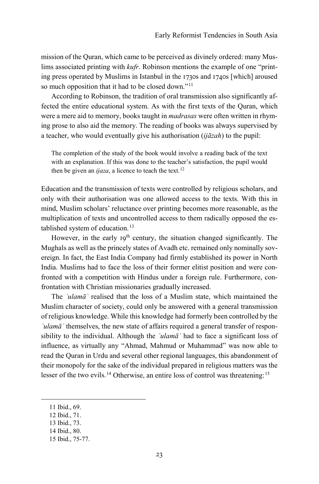mission of the Quran, which came to be perceived as divinely ordered: many Muslims associated printing with *kufr*. Robinson mentions the example of one "printing press operated by Muslims in Istanbul in the 1730s and 1740s [which] aroused so much opposition that it had to be closed down."[11](#page-4-0)

According to Robinson, the tradition of oral transmission also significantly affected the entire educational system. As with the first texts of the Quran, which were a mere aid to memory, books taught in *madrasas* were often written in rhyming prose to also aid the memory. The reading of books was always supervised by a teacher, who would eventually give his authorisation (*ijāzah*) to the pupil:

The completion of the study of the book would involve a reading back of the text with an explanation. If this was done to the teacher's satisfaction, the pupil would then be given an *ijaza*, a licence to teach the text.<sup>[12](#page-4-1)</sup>

Education and the transmission of texts were controlled by religious scholars, and only with their authorisation was one allowed access to the texts. With this in mind, Muslim scholars' reluctance over printing becomes more reasonable, as the multiplication of texts and uncontrolled access to them radically opposed the es-tablished system of education.<sup>[13](#page-4-2)</sup>

However, in the early  $19<sup>th</sup>$  century, the situation changed significantly. The Mughals as well as the princely states of Avadh etc. remained only nominally sovereign. In fact, the East India Company had firmly established its power in North India. Muslims had to face the loss of their former elitist position and were confronted with a competition with Hindus under a foreign rule. Furthermore, confrontation with Christian missionaries gradually increased.

The *ʿulamāʾ* realised that the loss of a Muslim state, which maintained the Muslim character of society, could only be answered with a general transmission of religious knowledge. While this knowledge had formerly been controlled by the *ʿulamāʾ* themselves, the new state of affairs required a general transfer of responsibility to the individual. Although the *ʿulamāʾ* had to face a significant loss of influence, as virtually any "Ahmad, Mahmud or Muhammad" was now able to read the Quran in Urdu and several other regional languages, this abandonment of their monopoly for the sake of the individual prepared in religious matters was the lesser of the two evils.<sup>[14](#page-4-3)</sup> Otherwise, an entire loss of control was threatening:<sup>[15](#page-4-4)</sup>

- <span id="page-4-2"></span>13 Ibid., 73.
- <span id="page-4-3"></span>14 Ibid., 80.

<span id="page-4-1"></span><span id="page-4-0"></span><sup>11</sup> Ibid., 69.

<sup>12</sup> Ibid., 71.

<span id="page-4-4"></span><sup>15</sup> Ibid., 75-77.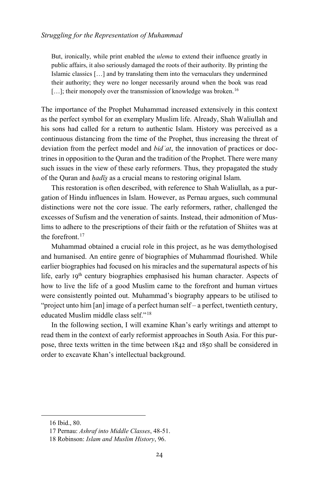But, ironically, while print enabled the *ulema* to extend their influence greatly in public affairs, it also seriously damaged the roots of their authority. By printing the Islamic classics […] and by translating them into the vernaculars they undermined their authority; they were no longer necessarily around when the book was read [...]; their monopoly over the transmission of knowledge was broken.<sup>[16](#page-5-0)</sup>

The importance of the Prophet Muhammad increased extensively in this context as the perfect symbol for an exemplary Muslim life. Already, Shah Waliullah and his sons had called for a return to authentic Islam. History was perceived as a continuous distancing from the time of the Prophet, thus increasing the threat of deviation from the perfect model and *bidʿat*, the innovation of practices or doctrines in opposition to the Quran and the tradition of the Prophet. There were many such issues in the view of these early reformers. Thus, they propagated the study of the Quran and *ḥadīs̱* as a crucial means to restoring original Islam.

This restoration is often described, with reference to Shah Waliullah, as a purgation of Hindu influences in Islam. However, as Pernau argues, such communal distinctions were not the core issue. The early reformers, rather, challenged the excesses of Sufism and the veneration of saints. Instead, their admonition of Muslims to adhere to the prescriptions of their faith or the refutation of Shiites was at the forefront.<sup>[17](#page-5-1)</sup>

Muhammad obtained a crucial role in this project, as he was demythologised and humanised. An entire genre of biographies of Muhammad flourished. While earlier biographies had focused on his miracles and the supernatural aspects of his life, early 19<sup>th</sup> century biographies emphasised his human character. Aspects of how to live the life of a good Muslim came to the forefront and human virtues were consistently pointed out. Muhammad's biography appears to be utilised to "project unto him [an] image of a perfect human self – a perfect, twentieth century, educated Muslim middle class self."[18](#page-5-2)

In the following section, I will examine Khan's early writings and attempt to read them in the context of early reformist approaches in South Asia. For this purpose, three texts written in the time between 1842 and 1850 shall be considered in order to excavate Khan's intellectual background.

<span id="page-5-1"></span><span id="page-5-0"></span><sup>16</sup> Ibid., 80.

<sup>17</sup> Pernau: *Ashraf into Middle Classes*, 48-51.

<span id="page-5-2"></span><sup>18</sup> Robinson: *Islam and Muslim History*, 96.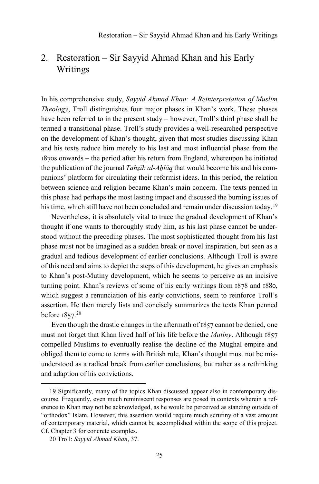# 2. Restoration – Sir Sayyid Ahmad Khan and his Early Writings

In his comprehensive study, *Sayyid Ahmad Khan: A Reinterpretation of Muslim Theology*, Troll distinguishes four major phases in Khan's work. These phases have been referred to in the present study – however, Troll's third phase shall be termed a transitional phase. Troll's study provides a well-researched perspective on the development of Khan's thought, given that most studies discussing Khan and his texts reduce him merely to his last and most influential phase from the 1870s onwards – the period after his return from England, whereupon he initiated the publication of the journal *Tahzīb al-Ahlāq* that would become his and his companions' platform for circulating their reformist ideas. In this period, the relation between science and religion became Khan's main concern. The texts penned in this phase had perhaps the most lasting impact and discussed the burning issues of his time, which still have not been concluded and remain under discussion today.<sup>[19](#page-6-0)</sup>

Nevertheless, it is absolutely vital to trace the gradual development of Khan's thought if one wants to thoroughly study him, as his last phase cannot be understood without the preceding phases. The most sophisticated thought from his last phase must not be imagined as a sudden break or novel inspiration, but seen as a gradual and tedious development of earlier conclusions. Although Troll is aware of this need and aims to depict the steps of this development, he gives an emphasis to Khan's post-Mutiny development, which he seems to perceive as an incisive turning point. Khan's reviews of some of his early writings from 1878 and 1880, which suggest a renunciation of his early convictions, seem to reinforce Troll's assertion. He then merely lists and concisely summarizes the texts Khan penned before 1857.[20](#page-6-1)

Even though the drastic changes in the aftermath of 1857 cannot be denied, one must not forget that Khan lived half of his life before the *Mutiny*. Although 1857 compelled Muslims to eventually realise the decline of the Mughal empire and obliged them to come to terms with British rule, Khan's thought must not be misunderstood as a radical break from earlier conclusions, but rather as a rethinking and adaption of his convictions.

<span id="page-6-0"></span><sup>19</sup> Significantly, many of the topics Khan discussed appear also in contemporary discourse. Frequently, even much reminiscent responses are posed in contexts wherein a reference to Khan may not be acknowledged, as he would be perceived as standing outside of "orthodox" Islam. However, this assertion would require much scrutiny of a vast amount of contemporary material, which cannot be accomplished within the scope of this project. Cf. Chapter 3 for concrete examples.

<span id="page-6-1"></span><sup>20</sup> Troll: *Sayyid Ahmad Khan*, 37.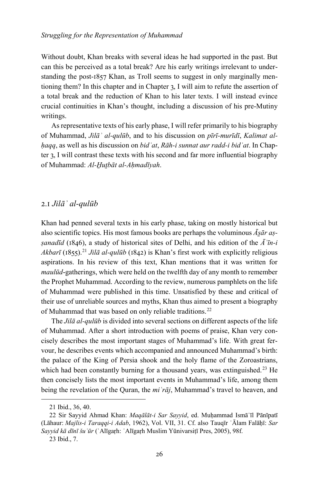Without doubt, Khan breaks with several ideas he had supported in the past. But can this be perceived as a total break? Are his early writings irrelevant to understanding the post-1857 Khan, as Troll seems to suggest in only marginally mentioning them? In this chapter and in Chapter 3, I will aim to refute the assertion of a total break and the reduction of Khan to his later texts. I will instead evince crucial continuities in Khan's thought, including a discussion of his pre-Mutiny writings.

As representative texts of his early phase, I will refer primarily to his biography of Muhammad, *Jilāʾ al-qulūb*, and to his discussion on *pīrī-murīdī*, *Kalimat alḥaqq*, as well as his discussion on *bidʿat*, *Rāh-i sunnat aur radd-i bidʿat*. In Chapter 3, I will contrast these texts with his second and far more influential biography of Muhammad: *Al-H̱ut̤bāt al-Aḥmadīyah*.

### 2.1 *Jilāʾ al-qulūb*

Khan had penned several texts in his early phase, taking on mostly historical but also scientific topics. His most famous books are perhaps the voluminous *Ās̱ār aṣṣanadīd* (1846), a study of historical sites of Delhi, and his edition of the *Āʾīn-i Akbarī* (1855).<sup>[21](#page-7-0)</sup> *Jilā al-qulūb* (1842) is Khan's first work with explicitly religious aspirations. In his review of this text, Khan mentions that it was written for *maulūd*-gatherings, which were held on the twelfth day of any month to remember the Prophet Muhammad. According to the review, numerous pamphlets on the life of Muhammad were published in this time. Unsatisfied by these and critical of their use of unreliable sources and myths, Khan thus aimed to present a biography of Muhammad that was based on only reliable traditions.<sup>[22](#page-7-1)</sup>

The *Jilā al-qulūb* is divided into several sections on different aspects of the life of Muhammad. After a short introduction with poems of praise, Khan very concisely describes the most important stages of Muhammad's life. With great fervour, he describes events which accompanied and announced Muhammad's birth: the palace of the King of Persia shook and the holy flame of the Zoroastrians, which had been constantly burning for a thousand years, was extinguished.<sup>[23](#page-7-2)</sup> He then concisely lists the most important events in Muhammad's life, among them being the revelation of the Quran, the *miʿrāj*, Muhammad's travel to heaven, and

<sup>21</sup> Ibid., 36, 40.

<span id="page-7-2"></span><span id="page-7-1"></span><span id="page-7-0"></span><sup>22</sup> Sir Sayyid Ahmad Khan: *Maqālāt-i Sar Sayyid*, ed. Muḥammad Ismāʿīl Pānīpatī (Lāhaur: *Majlis-i Taraqqi-i Adab*, 1962), Vol. VII, 31. Cf. also Tauqīr ʿĀlam Falāḥī: *Sar Sayyid kā dīnī šuʿūr* (ʿAlīgaṛh: ʿAlīgaṛh Muslim Yūnivarsiṭī Pres, 2005), 98f.

<sup>23</sup> Ibid., 7.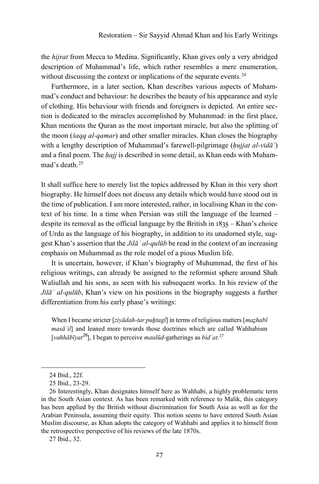the *hijrat* from Mecca to Medina. Significantly, Khan gives only a very abridged description of Muhammad's life, which rather resembles a mere enumeration, without discussing the context or implications of the separate events.<sup>[24](#page-8-0)</sup>

Furthermore, in a later section, Khan describes various aspects of Muhammad's conduct and behaviour: he describes the beauty of his appearance and style of clothing. His behaviour with friends and foreigners is depicted. An entire section is dedicated to the miracles accomplished by Muhammad: in the first place, Khan mentions the Quran as the most important miracle, but also the splitting of the moon (*šaqq al-qamar*) and other smaller miracles. Khan closes the biography with a lengthy description of Muhammad's farewell-pilgrimage (*hujjat al-vidā* ) and a final poem. The *ḥajj* is described in some detail, as Khan ends with Muham-mad's death <sup>[25](#page-8-1)</sup>

It shall suffice here to merely list the topics addressed by Khan in this very short biography. He himself does not discuss any details which would have stood out in the time of publication. I am more interested, rather, in localising Khan in the context of his time. In a time when Persian was still the language of the learned – despite its removal as the official language by the British in 1835 – Khan's choice of Urdu as the language of his biography, in addition to its unadorned style, suggest Khan's assertion that the *Jilāʾ al-qulūb* be read in the context of an increasing emphasis on Muhammad as the role model of a pious Muslim life.

It is uncertain, however, if Khan's biography of Muhummad, the first of his religious writings, can already be assigned to the reformist sphere around Shah Waliullah and his sons, as seen with his subsequent works. In his review of the *Jilāʾ al-qulūb*, Khan's view on his positions in the biography suggests a further differentiation from his early phase's writings:

When I became stricter [*ziyādah-tar puhtagī*] in terms of religious matters [*mazhabī masāʾil*] and leaned more towards those doctrines which are called Wahhabism [*vahhābīyat*[26](#page-8-2)], I began to perceive *maulūd*-gatherings as *bidʿat*. [27](#page-8-3)

<span id="page-8-0"></span>-

<span id="page-8-3"></span>27 Ibid., 32.

<sup>24</sup> Ibid., 22f.

<sup>25</sup> Ibid., 23-29.

<span id="page-8-2"></span><span id="page-8-1"></span><sup>26</sup> Interestingly, Khan designates himself here as Wahhabi, a highly problematic term in the South Asian context. As has been remarked with reference to Malik, this category has been applied by the British without discrimination for South Asia as well as for the Arabian Peninsula, assuming their equity. This notion seems to have entered South Asian Muslim discourse, as Khan adopts the category of Wahhabi and applies it to himself from the retrospective perspective of his reviews of the late 1870s.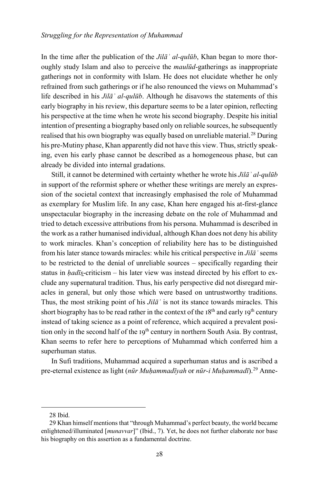In the time after the publication of the *Jilāʾ al-qulūb*, Khan began to more thoroughly study Islam and also to perceive the *maulūd*-gatherings as inappropriate gatherings not in conformity with Islam. He does not elucidate whether he only refrained from such gatherings or if he also renounced the views on Muhammad's life described in his *Jilāʾ al-qulūb*. Although he disavows the statements of this early biography in his review, this departure seems to be a later opinion, reflecting his perspective at the time when he wrote his second biography. Despite his initial intention of presenting a biography based only on reliable sources, he subsequently realised that his own biography was equally based on unreliable material.<sup>[28](#page-9-0)</sup> During his pre-Mutiny phase, Khan apparently did not have this view. Thus, strictly speaking, even his early phase cannot be described as a homogeneous phase, but can already be divided into internal gradations.

Still, it cannot be determined with certainty whether he wrote his *Jilāʾ al-qulūb* in support of the reformist sphere or whether these writings are merely an expression of the societal context that increasingly emphasised the role of Muhammad as exemplary for Muslim life. In any case, Khan here engaged his at-first-glance unspectacular biography in the increasing debate on the role of Muhammad and tried to detach excessive attributions from his persona. Muhammad is described in the work as a rather humanised individual, although Khan does not deny his ability to work miracles. Khan's conception of reliability here has to be distinguished from his later stance towards miracles: while his critical perspective in *Jilāʾ* seems to be restricted to the denial of unreliable sources – specifically regarding their status in *hadīs*-criticism – his later view was instead directed by his effort to exclude any supernatural tradition. Thus, his early perspective did not disregard miracles in general, but only those which were based on untrustworthy traditions. Thus, the most striking point of his *Jilāʾ* is not its stance towards miracles. This short biography has to be read rather in the context of the  $18<sup>th</sup>$  and early 19<sup>th</sup> century instead of taking science as a point of reference, which acquired a prevalent position only in the second half of the 19<sup>th</sup> century in northern South Asia. By contrast, Khan seems to refer here to perceptions of Muhammad which conferred him a superhuman status.

In Sufi traditions, Muhammad acquired a superhuman status and is ascribed a pre-eternal existence as light (*nūr Muḥammadīyah* or *nūr-i Muḥammadī*).[29](#page-9-1) Anne-

<sup>28</sup> Ibid.

<span id="page-9-1"></span><span id="page-9-0"></span><sup>29</sup> Khan himself mentions that "through Muhammad's perfect beauty, the world became enlightened/illuminated [*munavvar*]" (Ibid., 7). Yet, he does not further elaborate nor base his biography on this assertion as a fundamental doctrine.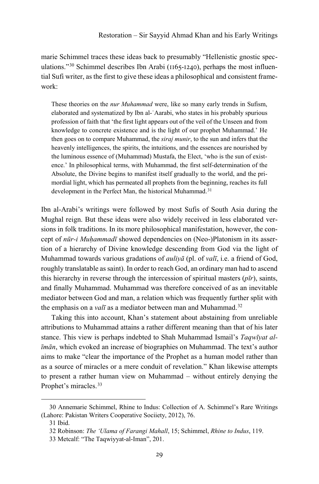marie Schimmel traces these ideas back to presumably "Hellenistic gnostic spec-ulations."<sup>[30](#page-10-0)</sup> Schimmel describes Ibn Arabi ( $1165$ -1240), perhaps the most influential Sufi writer, as the first to give these ideas a philosophical and consistent framework:

These theories on the *nur Muhammad* were, like so many early trends in Sufism, elaborated and systematized by Ibn al-ʿAarabi, who states in his probably spurious profession of faith that 'the first light appears out of the veil of the Unseen and from knowledge to concrete existence and is the light of our prophet Muhammad.' He then goes on to compare Muhammad, the *siraj munir*, to the sun and infers that the heavenly intelligences, the spirits, the intuitions, and the essences are nourished by the luminous essence of (Muhammad) Mustafa, the Elect, 'who is the sun of existence.' In philosophical terms, with Muhammad, the first self-determination of the Absolute, the Divine begins to manifest itself gradually to the world, and the primordial light, which has permeated all prophets from the beginning, reaches its full development in the Perfect Man, the historical Muhammad.<sup>[31](#page-10-1)</sup>

Ibn al-Arabi's writings were followed by most Sufis of South Asia during the Mughal reign. But these ideas were also widely received in less elaborated versions in folk traditions. In its more philosophical manifestation, however, the concept of *nūr-i Muḥammadī* showed dependencies on (Neo-)Platonism in its assertion of a hierarchy of Divine knowledge descending from God via the light of Muhammad towards various gradations of *auliyā* (pl. of *valī*, i.e. a friend of God, roughly translatable as saint). In order to reach God, an ordinary man had to ascend this hierarchy in reverse through the intercession of spiritual masters (*pīr*), saints, and finally Muhammad. Muhammad was therefore conceived of as an inevitable mediator between God and man, a relation which was frequently further split with the emphasis on a *val*<sup> $\bar{i}$ </sup> as a mediator between man and Muhammad.<sup>[32](#page-10-2)</sup>

Taking this into account, Khan's statement about abstaining from unreliable attributions to Muhammad attains a rather different meaning than that of his later stance. This view is perhaps indebted to Shah Muhammad Ismail's *Taqwīyat alīmān*, which evoked an increase of biographies on Muhammad. The text's author aims to make "clear the importance of the Prophet as a human model rather than as a source of miracles or a mere conduit of revelation." Khan likewise attempts to present a rather human view on Muhammad – without entirely denying the Prophet's miracles.<sup>[33](#page-10-3)</sup>

<span id="page-10-2"></span><span id="page-10-1"></span><span id="page-10-0"></span><sup>30</sup> Annemarie Schimmel, Rhine to Indus: Collection of A. Schimmel's Rare Writings (Lahore: Pakistan Writers Cooperative Sociiety, 2012), 76.

<sup>31</sup> Ibid.

<sup>32</sup> Robinson: *The 'Ulama of Farangi Mahall*, 15; Schimmel, *Rhine to Indus*, 119.

<span id="page-10-3"></span><sup>33</sup> Metcalf: "The Taqwiyyat-al-Iman", 201.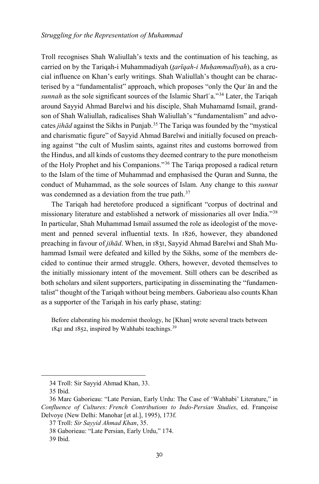Troll recognises Shah Waliullah's texts and the continuation of his teaching, as carried on by the Tariqah-i Muhammadiyah (*t̤arīqah-i Muḥammadīyah*), as a crucial influence on Khan's early writings. Shah Waliullah's thought can be characterised by a "fundamentalist" approach, which proposes "only the Qurʾān and the *sunnah* as the sole significant sources of the Islamic Sharīʿa."[34](#page-11-0) Later, the Tariqah around Sayyid Ahmad Barelwi and his disciple, Shah Muhamamd Ismail, grandson of Shah Waliullah, radicalises Shah Waliullah's "fundamentalism" and advocates *jihād* against the Sikhs in Punjab.[35](#page-11-1) The Tariqa was founded by the "mystical and charismatic figure" of Sayyid Ahmad Barelwi and initially focused on preaching against "the cult of Muslim saints, against rites and customs borrowed from the Hindus, and all kinds of customs they deemed contrary to the pure monotheism of the Holy Prophet and his Companions."[36](#page-11-2) The Tariqa proposed a radical return to the Islam of the time of Muhammad and emphasised the Quran and Sunna, the conduct of Muhammad, as the sole sources of Islam. Any change to this *sunnat* was condemned as a deviation from the true path.<sup>[37](#page-11-3)</sup>

The Tariqah had heretofore produced a significant "corpus of doctrinal and missionary literature and established a network of missionaries all over India."[38](#page-11-4) In particular, Shah Muhammad Ismail assumed the role as ideologist of the movement and penned several influential texts. In 1826, however, they abandoned preaching in favour of *jihād*. When, in 1831, Sayyid Ahmad Barelwi and Shah Muhammad Ismail were defeated and killed by the Sikhs, some of the members decided to continue their armed struggle. Others, however, devoted themselves to the initially missionary intent of the movement. Still others can be described as both scholars and silent supporters, participating in disseminating the "fundamentalist" thought of the Tariqah without being members. Gaborieau also counts Khan as a supporter of the Tariqah in his early phase, stating:

Before elaborating his modernist theology, he [Khan] wrote several tracts between 1841 and 1852, inspired by Wahhabi teachings.[39](#page-11-5)

<sup>34</sup> Troll: Sir Sayyid Ahmad Khan, 33.

<sup>35</sup> Ibid.

<span id="page-11-3"></span><span id="page-11-2"></span><span id="page-11-1"></span><span id="page-11-0"></span><sup>36</sup> Marc Gaborieau: "Late Persian, Early Urdu: The Case of 'Wahhabi' Literature," in *Confluence of Cultures: French Contributions to Indo-Persian Studies*, ed. Françoise Delvoye (New Delhi: Manohar [et al.], 1995), 173f.

<sup>37</sup> Troll: *Sir Sayyid Ahmad Khan*, 35.

<span id="page-11-4"></span><sup>38</sup> Gaborieau: "Late Persian, Early Urdu," 174.

<span id="page-11-5"></span><sup>39</sup> Ibid.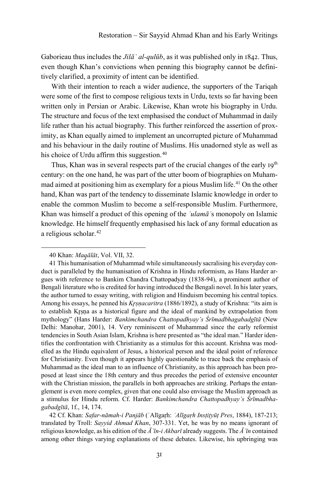Gaborieau thus includes the *Jilāʾ al-qulūb*, as it was published only in 1842. Thus, even though Khan's convictions when penning this biography cannot be definitively clarified, a proximity of intent can be identified.

With their intention to reach a wider audience, the supporters of the Tariqah were some of the first to compose religious texts in Urdu, texts so far having been written only in Persian or Arabic. Likewise, Khan wrote his biography in Urdu. The structure and focus of the text emphasised the conduct of Muhammad in daily life rather than his actual biography. This further reinforced the assertion of proximity, as Khan equally aimed to implement an uncorrupted picture of Muhammad and his behaviour in the daily routine of Muslims. His unadorned style as well as his choice of Urdu affirm this suggestion.<sup>[40](#page-12-0)</sup>

Thus, Khan was in several respects part of the crucial changes of the early 19<sup>th</sup> century: on the one hand, he was part of the utter boom of biographies on Muham-mad aimed at positioning him as exemplary for a pious Muslim life.<sup>[41](#page-12-1)</sup> On the other hand, Khan was part of the tendency to disseminate Islamic knowledge in order to enable the common Muslim to become a self-responsible Muslim. Furthermore, Khan was himself a product of this opening of the *ʿulamāʾ*s monopoly on Islamic knowledge. He himself frequently emphasised his lack of any formal education as a religious scholar.<sup>[42](#page-12-2)</sup>

<sup>40</sup> Khan: *Maq̱ālāt*, Vol. VII, 32.

<span id="page-12-1"></span><span id="page-12-0"></span><sup>41</sup> This humanisation of Muhammad while simultaneously sacralising his everyday conduct is paralleled by the humanisation of Krishna in Hindu reformism, as Hans Harder argues with reference to Bankim Chandra Chattopadyay (1838-94), a prominent author of Bengali literature who is credited for having introduced the Bengali novel. In his later years, the author turned to essay writing, with religion and Hinduism becoming his central topics. Among his essays, he penned his *Kr̥ṣṇacaritra* (1886/1892), a study of Krishna: "its aim is to establish Krsna as a historical figure and the ideal of mankind by extrapolation from mythology" (Hans Harder: *Bankimchandra Chattopadhyay's Śrīmadbhagabadgītā* (New Delhi: Manohar, 2001), 14. Very reminiscent of Muhammad since the early reformist tendencies in South Asian Islam, Krishna is here presented as "the ideal man." Harder identifies the confrontation with Christianity as a stimulus for this account. Krishna was modelled as the Hindu equivalent of Jesus, a historical person and the ideal point of reference for Christianity. Even though it appears highly questionable to trace back the emphasis of Muhammad as the ideal man to an influence of Christianity, as this approach has been proposed at least since the 18th century and thus precedes the period of extensive encounter with the Christian mission, the parallels in both approaches are striking. Perhaps the entanglement is even more complex, given that one could also envisage the Muslim approach as a stimulus for Hindu reform. Cf. Harder: *Bankimchandra Chattopadhyay's Śrīmadbhagabadgītā*, 1f., 14, 174.

<span id="page-12-2"></span><sup>42</sup> Cf. Khan: *Safar-nāmah-i Panjāb* (ʿAlīgaṛh: *ʿAlīgaṛh Insṭiṭyūṭ Pres*, 1884), 187-213; translated by Troll: *Sayyid Ahmad Khan*, 307-331. Yet, he was by no means ignorant of religious knowledge, as his edition of the *Āʾīn-i Akbarī* already suggests. The *Āʾīn* contained among other things varying explanations of these debates. Likewise, his upbringing was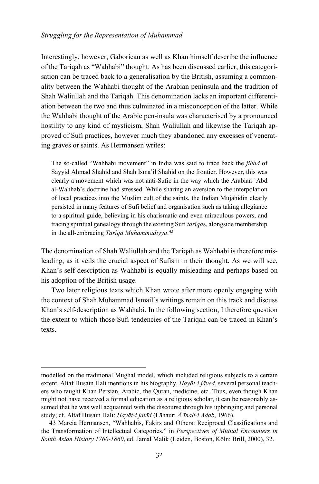Interestingly, however, Gaborieau as well as Khan himself describe the influence of the Tariqah as "Wahhabi" thought. As has been discussed earlier, this categorisation can be traced back to a generalisation by the British, assuming a commonality between the Wahhabi thought of the Arabian peninsula and the tradition of Shah Waliullah and the Tariqah. This denomination lacks an important differentiation between the two and thus culminated in a misconception of the latter. While the Wahhabi thought of the Arabic pen-insula was characterised by a pronounced hostility to any kind of mysticism, Shah Waliullah and likewise the Tariqah approved of Sufi practices, however much they abandoned any excesses of venerating graves or saints. As Hermansen writes:

The so-called "Wahhabi movement" in India was said to trace back the *jihâd* of Sayyid Ahmad Shahid and Shah Ismaʿil Shahid on the frontier. However, this was clearly a movement which was not anti-Sufic in the way which the Arabian ʿAbd al-Wahhab's doctrine had stressed. While sharing an aversion to the interpolation of local practices into the Muslim cult of the saints, the Indian Mujahidin clearly persisted in many features of Sufi belief and organisation such as taking allegiance to a spiritual guide, believing in his charismatic and even miraculous powers, and tracing spiritual genealogy through the existing Sufi *tarîqa*s, alongside membership in the all-embracing *Tarîqa Muhammadiyya*. [43](#page-13-0)

The denomination of Shah Waliullah and the Tariqah as Wahhabi is therefore misleading, as it veils the crucial aspect of Sufism in their thought. As we will see, Khan's self-description as Wahhabi is equally misleading and perhaps based on his adoption of the British usage.

Two later religious texts which Khan wrote after more openly engaging with the context of Shah Muhammad Ismail's writings remain on this track and discuss Khan's self-description as Wahhabi. In the following section, I therefore question the extent to which those Sufi tendencies of the Tariqah can be traced in Khan's texts.

modelled on the traditional Mughal model, which included religious subjects to a certain extent. Altaf Husain Hali mentions in his biography, *Ḥayāt-i jāved*, several personal teachers who taught Khan Persian, Arabic, the Quran, medicine, etc. Thus, even though Khan might not have received a formal education as a religious scholar, it can be reasonably assumed that he was well acquainted with the discourse through his upbringing and personal study; cf. Altaf Husain Hali: *Ḥayāt-i javīd* (Lāhaur: *Āʾīnah-i Adab*, 1966).

<span id="page-13-0"></span><sup>43</sup> Marcia Hermansen, "Wahhabis, Fakirs and Others: Reciprocal Classifications and the Transformation of Intellectual Categories," in *Perspectives of Mutual Encounters in South Asian History 1760-1860*, ed. Jamal Malik (Leiden, Boston, Köln: Brill, 2000), 32.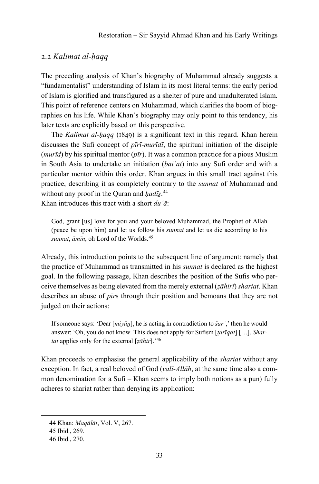#### 2.2 *Kalimat al-ḥaqq*

The preceding analysis of Khan's biography of Muhammad already suggests a "fundamentalist" understanding of Islam in its most literal terms: the early period of Islam is glorified and transfigured as a shelter of pure and unadulterated Islam. This point of reference centers on Muhammad, which clarifies the boom of biographies on his life. While Khan's biography may only point to this tendency, his later texts are explicitly based on this perspective.

The *Kalimat al-ḥaqq* (1849) is a significant text in this regard. Khan herein discusses the Sufi concept of *pīrī-murīdī*, the spiritual initiation of the disciple (*murīd*) by his spiritual mentor (*pīr*). It was a common practice for a pious Muslim in South Asia to undertake an initiation (*baiʿat*) into any Sufi order and with a particular mentor within this order. Khan argues in this small tract against this practice, describing it as completely contrary to the *sunnat* of Muhammad and without any proof in the Quran and *ḥadīs̱*. [44](#page-14-0)

Khan introduces this tract with a short *duʿā*:

God, grant [us] love for you and your beloved Muhammad, the Prophet of Allah (peace be upon him) and let us follow his *sunnat* and let us die according to his *sunnat*, *āmīn*, oh Lord of the Worlds.[45](#page-14-1)

Already, this introduction points to the subsequent line of argument: namely that the practice of Muhammad as transmitted in his *sunnat* is declared as the highest goal. In the following passage, Khan describes the position of the Sufis who perceive themselves as being elevated from the merely external (*ẓāhirī*) *shariat*. Khan describes an abuse of *pīr*s through their position and bemoans that they are not judged on their actions:

If someone says: 'Dear [ $miy\bar{a}p$ ], he is acting in contradiction to *šar*<sup>'</sup>,' then he would answer: 'Oh, you do not know. This does not apply for Sufism [*t̤arīqat*] […]. *Shariat* applies only for the external [*ẓāhir*].'[46](#page-14-2)

Khan proceeds to emphasise the general applicability of the *shariat* without any exception. In fact, a real beloved of God (*valī-Allāh*, at the same time also a common denomination for a Sufi – Khan seems to imply both notions as a pun) fully adheres to shariat rather than denying its application:

<span id="page-14-0"></span><sup>44</sup> Khan: *Maqālāt*, Vol. V, 267.

<span id="page-14-1"></span><sup>45</sup> Ibid., 269.

<span id="page-14-2"></span><sup>46</sup> Ibid., 270.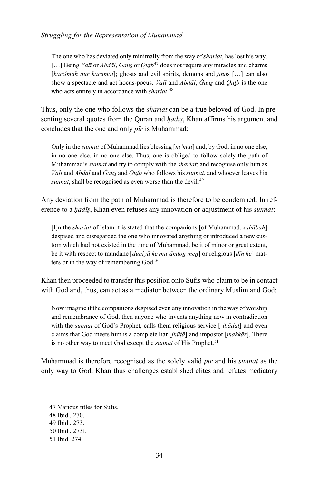The one who has deviated only minimally from the way of *shariat*, has lost his way. […] Being *Valī* or *Abdāl*, *Ġaus̱*or *Qut̤b*[47](#page-15-0) does not require any miracles and charms [*karišmah aur karāmāt*]; ghosts and evil spirits, demons and *jinn*s […] can also show a spectacle and act hocus-pocus. *Val*<sub>*i*</sub> and *Abdāl*, *Ġaus* and *Outb* is the one who acts entirely in accordance with *shariat*. [48](#page-15-1)

Thus, only the one who follows the *shariat* can be a true beloved of God. In presenting several quotes from the Quran and *hadīs*, Khan affirms his argument and concludes that the one and only *pīr* is Muhammad:

Only in the *sunnat* of Muhammad lies blessing [*niʿmat*] and, by God, in no one else, in no one else, in no one else. Thus, one is obliged to follow solely the path of Muhammad's *sunnat* and try to comply with the *shariat*; and recognise only him as *Valī* and *Abdāl* and *Ġaus̱*and *Qut̤b* who follows his *sunnat*, and whoever leaves his *sunnat*, shall be recognised as even worse than the devil.<sup>[49](#page-15-2)</sup>

Any deviation from the path of Muhammad is therefore to be condemned. In reference to a *ḥadīs̱*, Khan even refuses any innovation or adjustment of his *sunnat*:

[I]n the *shariat* of Islam it is stated that the companions [of Muhammad, *ṣaḥābah*] despised and disregarded the one who innovated anything or introduced a new custom which had not existed in the time of Muhammad, be it of minor or great extent, be it with respect to mundane [*duniyā ke muʿāmloṉ meṉ*] or religious [*dīn ke*] mat-ters or in the way of remembering God.<sup>[50](#page-15-3)</sup>

Khan then proceeded to transfer this position onto Sufis who claim to be in contact with God and, thus, can act as a mediator between the ordinary Muslim and God:

Now imagine if the companions despised even any innovation in the way of worship and remembrance of God, then anyone who invents anything new in contradiction with the *sunnat* of God's Prophet, calls them religious service [*ʿibādat*] and even claims that God meets him is a complete liar [*jhūṭā*] and impostor [*makkār*]. There is no other way to meet God except the *sunnat* of His Prophet.<sup>[51](#page-15-4)</sup>

Muhammad is therefore recognised as the solely valid *pīr* and his *sunnat* as the only way to God. Khan thus challenges established elites and refutes mediatory

<span id="page-15-1"></span><span id="page-15-0"></span><sup>47</sup> Various titles for Sufis.

<sup>48</sup> Ibid., 270.

<span id="page-15-2"></span><sup>49</sup> Ibid., 273.

<span id="page-15-3"></span><sup>50</sup> Ibid., 273f.

<span id="page-15-4"></span><sup>51</sup> Ibid. 274.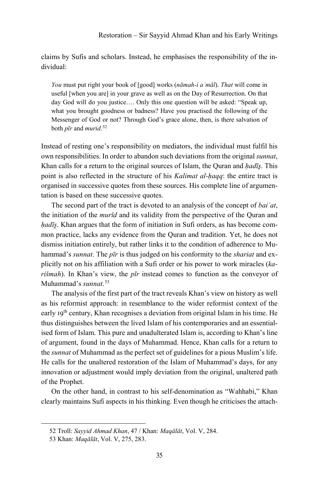claims by Sufis and scholars. Instead, he emphasises the responsibility of the individual:

*You* must put right your book of [good] works (*nāmah-i aʿmāl*). *That* will come in useful [when you are] in your grave as well as on the Day of Resurrection. On that day God will do you justice…. Only this one question will be asked: "Speak up, what you brought goodness or badness? Have you practised the following of the Messenger of God or not? Through God's grace alone, then, is there salvation of both *pīr* and *murid*. [52](#page-16-0)

Instead of resting one's responsibility on mediators, the individual must fulfil his own responsibilities. In order to abandon such deviations from the original *sunnat*, Khan calls for a return to the original sources of Islam, the Quran and *ḥadīs̱*. This point is also reflected in the structure of his *Kalimat al-ḥaqq*: the entire tract is organised in successive quotes from these sources. His complete line of argumentation is based on these successive quotes.

The second part of the tract is devoted to an analysis of the concept of *baiʿat*, the initiation of the *murīd* and its validity from the perspective of the Quran and *hadīs*. Khan argues that the form of initiation in Sufi orders, as has become common practice, lacks any evidence from the Quran and tradition. Yet, he does not dismiss initiation entirely, but rather links it to the condition of adherence to Muhammad's *sunnat*. The *pīr* is thus judged on his conformity to the *shariat* and explicitly not on his affiliation with a Sufi order or his power to work miracles (*karišmah*). In Khan's view, the *pīr* instead comes to function as the conveyor of Muhammad's *sunnat*. [53](#page-16-1)

The analysis of the first part of the tract reveals Khan's view on history as well as his reformist approach: in resemblance to the wider reformist context of the early 19<sup>th</sup> century, Khan recognises a deviation from original Islam in his time. He thus distinguishes between the lived Islam of his contemporaries and an essentialised form of Islam. This pure and unadulterated Islam is, according to Khan's line of argument, found in the days of Muhammad. Hence, Khan calls for a return to the *sunnat* of Muhammad as the perfect set of guidelines for a pious Muslim's life. He calls for the unaltered restoration of the Islam of Muhammad's days, for any innovation or adjustment would imply deviation from the original, unaltered path of the Prophet.

On the other hand, in contrast to his self-denomination as "Wahhabi," Khan clearly maintains Sufi aspects in his thinking. Even though he criticises the attach-

<span id="page-16-1"></span><span id="page-16-0"></span>1

<sup>52</sup> Troll: *Sayyid Ahmad Khan*, 47 / Khan: *Maqālāt*, Vol. V, 284.

<sup>53</sup> Khan: *Maqālāt*, Vol. V, 275, 283.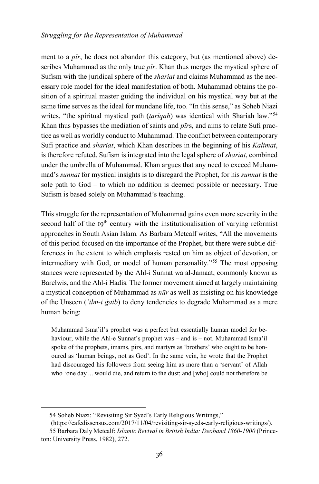ment to a *pīr*, he does not abandon this category, but (as mentioned above) describes Muhammad as the only true *pīr*. Khan thus merges the mystical sphere of Sufism with the juridical sphere of the *shariat* and claims Muhammad as the necessary role model for the ideal manifestation of both. Muhammad obtains the position of a spiritual master guiding the individual on his mystical way but at the same time serves as the ideal for mundane life, too. "In this sense," as Soheb Niazi writes, "the spiritual mystical path (*tarīqah*) was identical with Shariah law."<sup>[54](#page-17-0)</sup> Khan thus bypasses the mediation of saints and *pīr*s, and aims to relate Sufi practice as well as worldly conduct to Muhammad. The conflict between contemporary Sufi practice and *shariat*, which Khan describes in the beginning of his *Kalimat*, is therefore refuted. Sufism is integrated into the legal sphere of *shariat*, combined under the umbrella of Muhammad. Khan argues that any need to exceed Muhammad's *sunnat* for mystical insights is to disregard the Prophet, for his *sunnat* is the sole path to God – to which no addition is deemed possible or necessary. True Sufism is based solely on Muhammad's teaching.

This struggle for the representation of Muhammad gains even more severity in the second half of the 19<sup>th</sup> century with the institutionalisation of varying reformist approaches in South Asian Islam. As Barbara Metcalf writes, "All the movements of this period focused on the importance of the Prophet, but there were subtle differences in the extent to which emphasis rested on him as object of devotion, or intermediary with God, or model of human personality."[55](#page-17-1) The most opposing stances were represented by the Ahl-i Sunnat wa al-Jamaat, commonly known as Barelwis, and the Ahl-i Hadis. The former movement aimed at largely maintaining a mystical conception of Muhammad as *nūr* as well as insisting on his knowledge of the Unseen (*ʿilm-i ġaib*) to deny tendencies to degrade Muhammad as a mere human being:

Muhammad Isma'il's prophet was a perfect but essentially human model for behaviour, while the Ahl-e Sunnat's prophet was – and is – not. Muhammad Isma'il spoke of the prophets, imams, pirs, and martyrs as 'brothers' who ought to be honoured as 'human beings, not as God'. In the same vein, he wrote that the Prophet had discouraged his followers from seeing him as more than a 'servant' of Allah who 'one day ... would die, and return to the dust; and [who] could not therefore be

<sup>54</sup> Soheb Niazi: "Revisiting Sir Syed's Early Religious Writings,"

<sup>(</sup>https://cafedissensus.com/2017/11/04/revisiting-sir-syeds-early-religious-writings/).

<span id="page-17-1"></span><span id="page-17-0"></span><sup>55</sup> Barbara Daly Metcalf: *Islamic Revival in British India: Deoband 1860-1900* (Princeton: University Press, 1982), 272.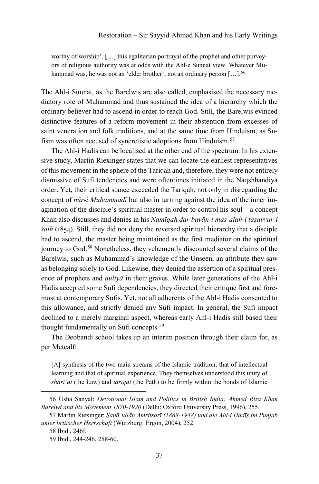worthy of worship'. […] this egalitarian portrayal of the prophet and other purveyors of religious authority was at odds with the Ahl-e Sunnat view. Whatever Mu-hammad was, he was not an 'elder brother', not an ordinary person [...].<sup>[56](#page-18-0)</sup>

The Ahl-i Sunnat, as the Barelwis are also called, emphasised the necessary mediatory role of Muhammad and thus sustained the idea of a hierarchy which the ordinary believer had to ascend in order to reach God. Still, the Barelwis evinced distinctive features of a reform movement in their abstention from excesses of saint veneration and folk traditions, and at the same time from Hinduism, as Su-fism was often accused of syncretistic adoptions from Hinduism.<sup>[57](#page-18-1)</sup>

The Ahl-i Hadis can be localised at the other end of the spectrum. In his extensive study, Martin Riexinger states that we can locate the earliest representatives of this movement in the sphere of the Tariqah and, therefore, they were not entirely dismissive of Sufi tendencies and were oftentimes initiated in the Naqshbandiya order. Yet, their critical stance exceeded the Tariqah, not only in disregarding the concept of *nūr-i Muhammadī* but also in turning against the idea of the inner imagination of the disciple's spiritual master in order to control his soul – a concept Khan also discusses and denies in his *Namīqah dar bayān-i masʾalah-i taṣavvur-i šaiẖ* (1854). Still, they did not deny the reversed spiritual hierarchy that a disciple had to ascend, the master being maintained as the first mediator on the spiritual journey to God.<sup>[58](#page-18-2)</sup> Nonetheless, they vehemently discounted several claims of the Barelwis, such as Muhammad's knowledge of the Unseen, an attribute they saw as belonging solely to God. Likewise, they denied the assertion of a spiritual presence of prophets and *auliyā* in their graves. While later generations of the Ahl-i Hadis accepted some Sufi dependencies, they directed their critique first and foremost at contemporary Sufis. Yet, not all adherents of the Ahl-i Hadis consented to this allowance, and strictly denied any Sufi impact. In general, the Sufi impact declined to a merely marginal aspect, whereas early Ahl-i Hadis still based their thought fundamentally on Sufi concepts.<sup>[59](#page-18-3)</sup>

The Deobandi school takes up an interim position through their claim for, as per Metcalf:

[A] synthesis of the two main streams of the Islamic tradition, that of intellectual learning and that of spiritual experience. They themselves understood this unity of *shariʿat* (the Law) and *tariqat* (the Path) to be firmly within the bonds of Islamic

<span id="page-18-0"></span><sup>56</sup> Usha Sanyal: *Devotional Islam and Politics in British India: Ahmed Riza Khan Barelwi and his Movement 1870-1920* (Delhi: Oxford University Press, 1996), 255.

<span id="page-18-3"></span><span id="page-18-2"></span><span id="page-18-1"></span><sup>57</sup> Martin Riexinger: *S̱anāʿullāh Amritsarī (1868-1948) und die Ahl-i Ḥadīs̱ im Punjab unter britischer Herrschaft* (Würzburg: Ergon, 2004), 252.

<sup>58</sup> Ibid., 246f.

<sup>59</sup> Ibid., 244-246, 258-60.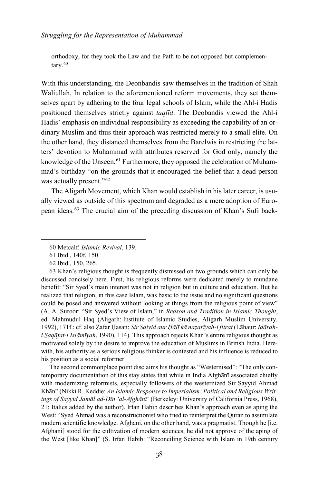orthodoxy, for they took the Law and the Path to be not opposed but complemen-tary.<sup>[60](#page-19-0)</sup>

With this understanding, the Deonbandis saw themselves in the tradition of Shah Waliullah. In relation to the aforementioned reform movements, they set themselves apart by adhering to the four legal schools of Islam, while the Ahl-i Hadis positioned themselves strictly against *taqlīd*. The Deobandis viewed the Ahl-i Hadis' emphasis on individual responsibility as exceeding the capability of an ordinary Muslim and thus their approach was restricted merely to a small elite. On the other hand, they distanced themselves from the Barelwis in restricting the latters' devotion to Muhammad with attributes reserved for God only, namely the knowledge of the Unseen.<sup>[61](#page-19-1)</sup> Furthermore, they opposed the celebration of Muhammad's birthday "on the grounds that it encouraged the belief that a dead person was actually present."<sup>[62](#page-19-2)</sup>

The Aligarh Movement, which Khan would establish in his later career, is usually viewed as outside of this spectrum and degraded as a mere adoption of European ideas.[63](#page-19-3) The crucial aim of the preceding discussion of Khan's Sufi back-

<span id="page-19-0"></span>-

The second commonplace point disclaims his thought as "Westernised": "The only contemporary documentation of this stay states that while in India Afghānī associated chiefly with modernizing reformists, especially followers of the westernized Sir Sayyid Ahmad Khān" (Nikki R. Keddie: *An Islamic Response to Imperialism: Political and Religious Writings of Sayyid Jamāl ad-Dīn 'al-Afghānī'* (Berkeley: University of California Press, 1968), 21; Italics added by the author). Irfan Habib describes Khan's approach even as aping the West: "Syed Ahmad was a reconstructionist who tried to reinterpret the Quran to assimilate modern scientific knowledge. Afghani, on the other hand, was a pragmatist. Though he [i.e. Afghani] stood for the cultivation of modern sciences, he did not approve of the aping of the West [like Khan]" (S. Irfan Habib: "Reconciling Science with Islam in 19th century

<sup>60</sup> Metcalf: *Islamic Revival*, 139.

<sup>61</sup> Ibid., 140f, 150.

<sup>62</sup> Ibid., 150, 265.

<span id="page-19-3"></span><span id="page-19-2"></span><span id="page-19-1"></span><sup>63</sup> Khan's religious thought is frequently dismissed on two grounds which can only be discussed concisely here. First, his religious reforms were dedicated merely to mundane benefit: "Sir Syed's main interest was not in religion but in culture and education. But he realized that religion, in this case Islam, was basic to the issue and no significant questions could be posed and answered without looking at things from the religious point of view" (A. A. Suroor: "Sir Syed's View of Islam," in *Reason and Tradition in Islamic Thought*, ed. Mahmudul Haq (Aligarh: Institute of Islamic Studies, Aligarh Muslim University, 1992), 171f.; cf. also Ẓafar Ḥasan: *Sir Saiyid aur Ḥālī kā naẓarīyah-i fit̤rat* (Lāhaur: *Idārahi S̱aqāfat-i Islāmīyah*, 1990), 114). This approach rejects Khan's entire religious thought as motivated solely by the desire to improve the education of Muslims in British India. Herewith, his authority as a serious religious thinker is contested and his influence is reduced to his position as a social reformer.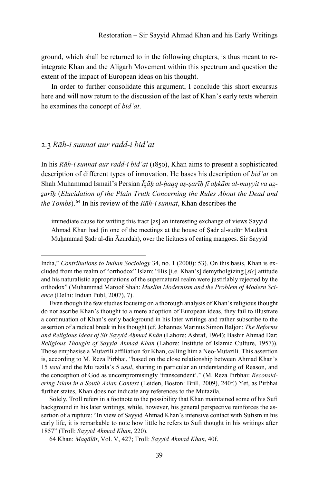ground, which shall be returned to in the following chapters, is thus meant to reintegrate Khan and the Aligarh Movement within this spectrum and question the extent of the impact of European ideas on his thought.

In order to further consolidate this argument, I conclude this short excursus here and will now return to the discussion of the last of Khan's early texts wherein he examines the concept of *bidʿat*.

#### 2.3 *Rāh-i sunnat aur radd-i bidʿat*

-

In his *Rāh-i sunnat aur radd-i bidʿat* (1850), Khan aims to present a sophisticated description of different types of innovation. He bases his description of *bidʿat* on Shah Muhammad Ismail's Persian *Īz̤āḥ al-ḥaqq aṣ-ṣarīḥ fī aḥkām al-mayyit va az̤ z̤arīḥ* (*Elucidation of the Plain Truth Concerning the Rules About the Dead and the Tombs*).[64](#page-20-0) In his review of the *Rāh-i sunnat*, Khan describes the

immediate cause for writing this tract [as] an interesting exchange of views Sayyid Ahmad Khan had (in one of the meetings at the house of Ṣadr al-sudūr Maulānā Muhammad Sadr al-dīn Āzurdah), over the licitness of eating mangoes. Sir Sayyid

Solely, Troll refers in a footnote to the possibility that Khan maintained some of his Sufi background in his later writings, while, however, his general perspective reinforces the assertion of a rupture: "In view of Sayyid Ahmad Khan's intensive contact with Sufism in his early life, it is remarkable to note how little he refers to Sufi thought in his writings after 1857" (Troll: *Sayyid Ahmad Khan*, 220).

India," *Contributions to Indian Sociology* 34, no. 1 (2000): 53). On this basis, Khan is excluded from the realm of "orthodox" Islam: "His [i.e. Khan's] demytholgizing [*sic*] attitude and his naturalistic appropriations of the supernatural realm were justifiably rejected by the orthodox" (Muhammad Maroof Shah: *Muslim Modernism and the Problem of Modern Science* (Delhi: Indian Publ, 2007), 7).

Even though the few studies focusing on a thorough analysis of Khan's religious thought do not ascribe Khan's thought to a mere adoption of European ideas, they fail to illustrate a continuation of Khan's early background in his later writings and rather subscribe to the assertion of a radical break in his thought (cf. Johannes Marinus Simon Baljon: *The Reforms and Religious Ideas of Sir Sayyid Aḥmad Khân* (Lahore: Ashraf, 1964); Bashir Ahmad Dar: *Religious Thought of Sayyid Ahmad Khan* (Lahore: Institute of Islamic Culture, 1957)). Those emphasise a Mutazili affiliation for Khan, calling him a Neo-Mutazili. This assertion is, according to M. Reza Pirbhai, "based on the close relationship between Ahmad Khan's 15 *usul* and the Muʿtazila's 5 *usul*, sharing in particular an understanding of Reason, and the conception of God as uncompromisingly 'transcendent'." (M. Reza Pirbhai: *Reconsidering Islam in a South Asian Context* (Leiden, Boston: Brill, 2009), 240f.) Yet, as Pirbhai further states, Khan does not indicate any references to the Mutazila.

<span id="page-20-0"></span><sup>64</sup> Khan: *Maqālāt*, Vol. V, 427; Troll: *Sayyid Ahmad Khan*, 40f.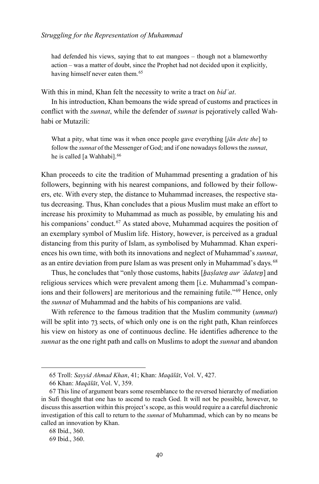had defended his views, saying that to eat mangoes – though not a blameworthy action – was a matter of doubt, since the Prophet had not decided upon it explicitly, having himself never eaten them.<sup>[65](#page-21-0)</sup>

With this in mind, Khan felt the necessity to write a tract on *bidʿat*.

In his introduction, Khan bemoans the wide spread of customs and practices in conflict with the *sunnat*, while the defender of *sunnat* is pejoratively called Wahhabi or Mutazili:

What a pity, what time was it when once people gave everything [*jān dete the*] to follow the *sunnat* of the Messenger of God; and if one nowadays follows the *sunnat*, he is called [a Wahhabi].<sup>[66](#page-21-1)</sup>

Khan proceeds to cite the tradition of Muhammad presenting a gradation of his followers, beginning with his nearest companions, and followed by their followers, etc. With every step, the distance to Muhammad increases, the respective status decreasing. Thus, Khan concludes that a pious Muslim must make an effort to increase his proximity to Muhammad as much as possible, by emulating his and his companions' conduct.<sup>[67](#page-21-2)</sup> As stated above, Muhammad acquires the position of an exemplary symbol of Muslim life. History, however, is perceived as a gradual distancing from this purity of Islam, as symbolised by Muhammad. Khan experiences his own time, with both its innovations and neglect of Muhammad's *sunnat*, as an entire deviation from pure Islam as was present only in Muhammad's days.[68](#page-21-3)

Thus, he concludes that "only those customs, habits [*ẖaṣlateṉ aur ʿādateṉ*] and religious services which were prevalent among them [i.e. Muhammad's compan-ions and their followers] are meritorious and the remaining futile."<sup>[69](#page-21-4)</sup> Hence, only the *sunnat* of Muhammad and the habits of his companions are valid.

With reference to the famous tradition that the Muslim community (*ummat*) will be split into 73 sects, of which only one is on the right path, Khan reinforces his view on history as one of continuous decline. He identifies adherence to the *sunnat* as the one right path and calls on Muslims to adopt the *sunnat* and abandon

<sup>65</sup> Troll: *Sayyid Ahmad Khan*, 41; Khan: *Maqālāt*, Vol. V, 427.

<sup>66</sup> Khan: *Maqālāt*, Vol. V, 359.

<span id="page-21-2"></span><span id="page-21-1"></span><span id="page-21-0"></span><sup>67</sup> This line of argument bears some resemblance to the reversed hierarchy of mediation in Sufi thought that one has to ascend to reach God. It will not be possible, however, to discuss this assertion within this project's scope, as this would require a a careful diachronic investigation of this call to return to the *sunnat* of Muhammad, which can by no means be called an innovation by Khan.

<span id="page-21-3"></span><sup>68</sup> Ibid., 360.

<span id="page-21-4"></span><sup>69</sup> Ibid., 360.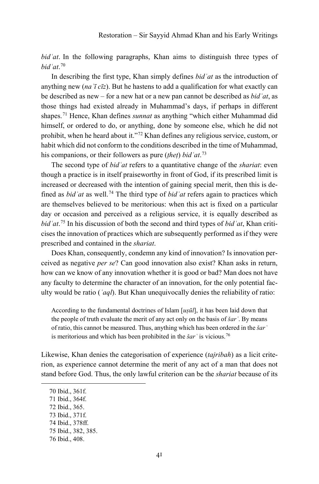*bidʿat*. In the following paragraphs, Khan aims to distinguish three types of *bidʿat*. [70](#page-22-0)

In describing the first type, Khan simply defines *bidʿat* as the introduction of anything new (*naʾī cīz*). But he hastens to add a qualification for what exactly can be described as new – for a new hat or a new pan cannot be described as *bidʿat*, as those things had existed already in Muhammad's days, if perhaps in different shapes.[71](#page-22-1) Hence, Khan defines *sunnat* as anything "which either Muhammad did himself, or ordered to do, or anything, done by someone else, which he did not prohibit, when he heard about it."[72](#page-22-2) Khan defines any religious service, custom, or habit which did not conform to the conditions described in the time of Muhammad, his companions, or their followers as pure (*ṭheṭ*) *bidʿat*. [73](#page-22-3)

The second type of *bidʿat* refers to a quantitative change of the *shariat*: even though a practice is in itself praiseworthy in front of God, if its prescribed limit is increased or decreased with the intention of gaining special merit, then this is defined as *bidʿat* as well.[74](#page-22-4) The third type of *bidʿat* refers again to practices which are themselves believed to be meritorious: when this act is fixed on a particular day or occasion and perceived as a religious service, it is equally described as *bidʿat*. [75](#page-22-5) In his discussion of both the second and third types of *bidʿat*, Khan criticises the innovation of practices which are subsequently performed as if they were prescribed and contained in the *shariat*.

Does Khan, consequently, condemn any kind of innovation? Is innovation perceived as negative *per se*? Can good innovation also exist? Khan asks in return, how can we know of any innovation whether it is good or bad? Man does not have any faculty to determine the character of an innovation, for the only potential faculty would be ratio (*ʿaql*). But Khan unequivocally denies the reliability of ratio:

According to the fundamental doctrines of Islam [*uṣūl*], it has been laid down that the people of truth evaluate the merit of any act only on the basis of *šarʿ*. By means of ratio, this cannot be measured. Thus, anything which has been ordered in the *šar* ' is meritorious and which has been prohibited in the *šarʿ* is vicious.[76](#page-22-6)

Likewise, Khan denies the categorisation of experience (*tajribah*) as a licit criterion, as experience cannot determine the merit of any act of a man that does not stand before God. Thus, the only lawful criterion can be the *shariat* because of its

- <span id="page-22-2"></span>72 Ibid., 365.
- <span id="page-22-3"></span>73 Ibid., 371f.
- <span id="page-22-4"></span>74 Ibid., 378ff.

<span id="page-22-0"></span><sup>70</sup> Ibid., 361f.

<span id="page-22-1"></span><sup>71</sup> Ibid., 364f.

<span id="page-22-5"></span><sup>75</sup> Ibid., 382, 385.

<span id="page-22-6"></span><sup>76</sup> Ibid., 408.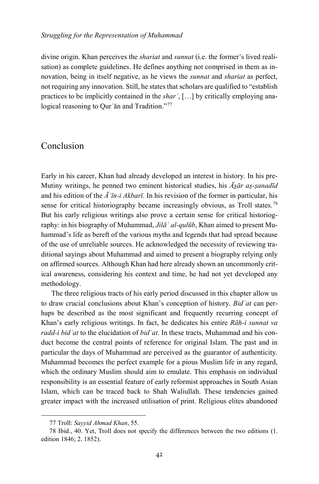divine origin. Khan perceives the *shariat* and *sunnat* (i.e. the former's lived realisation) as complete guidelines. He defines anything not comprised in them as innovation, being in itself negative, as he views the *sunnat* and *shariat* as perfect, not requiring any innovation. Still, he states that scholars are qualified to "establish practices to be implicitly contained in the *sharʿ*, […] by critically employing ana-logical reasoning to Our'an and Tradition."<sup>[77](#page-23-0)</sup>

## Conclusion

Early in his career, Khan had already developed an interest in history. In his pre-Mutiny writings, he penned two eminent historical studies, his *Ās̱ār aṣ-ṣanadīd* and his edition of the *Āʾīn-i Akbarī*. In his revision of the former in particular, his sense for critical historiography became increasingly obvious, as Troll states.<sup>[78](#page-23-1)</sup> But his early religious writings also prove a certain sense for critical historiography: in his biography of Muhammad, *Jilāʾ al-qulūb*, Khan aimed to present Muhammad's life as bereft of the various myths and legends that had spread because of the use of unreliable sources. He acknowledged the necessity of reviewing traditional sayings about Muhammad and aimed to present a biography relying only on affirmed sources. Although Khan had here already shown an uncommonly critical awareness, considering his context and time, he had not yet developed any methodology.

The three religious tracts of his early period discussed in this chapter allow us to draw crucial conclusions about Khan's conception of history. *Bidʿat* can perhaps be described as the most significant and frequently recurring concept of Khan's early religious writings. In fact, he dedicates his entire *Rāh-i sunnat va radd-i bidʿat* to the elucidation of *bidʿat*. In these tracts, Muhammad and his conduct become the central points of reference for original Islam. The past and in particular the days of Muhammad are perceived as the guarantor of authenticity. Muhammad becomes the perfect example for a pious Muslim life in any regard, which the ordinary Muslim should aim to emulate. This emphasis on individual responsibility is an essential feature of early reformist approaches in South Asian Islam, which can be traced back to Shah Waliullah. These tendencies gained greater impact with the increased utilisation of print. Religious elites abandoned

<sup>77</sup> Troll: *Sayyid Ahmad Khan*, 55.

<span id="page-23-1"></span><span id="page-23-0"></span><sup>78</sup> Ibid., 40. Yet, Troll does not specify the differences between the two editions (1. edition 1846; 2. 1852).